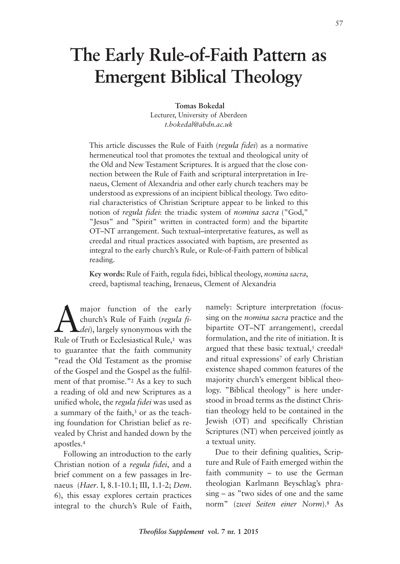# **The Early Rule-of-Faith Pattern as Emergent Biblical Theology**

#### **Tomas Bokedal**

Lecturer, University of Aberdeen *t.bokedal@abdn.ac.uk*

This article discusses the Rule of Faith (*regula fidei*) as a normative hermeneutical tool that promotes the textual and theological unity of the Old and New Testament Scriptures. It is argued that the close connection between the Rule of Faith and scriptural interpretation in Irenaeus, Clement of Alexandria and other early church teachers may be understood as expressions of an incipient biblical theology. Two editorial characteristics of Christian Scripture appear to be linked to this notion of *regula fidei*: the triadic system of *nomina sacra* ("God," "Jesus" and "Spirit" written in contracted form) and the bipartite OT–NT arrangement. Such textual–interpretative features, as well as creedal and ritual practices associated with baptism, are presented as integral to the early church's Rule, or Rule-of-Faith pattern of biblical reading.

**Key words:** Rule of Faith, regula fidei, biblical theology, *nomina sacra*, creed, baptismal teaching, Irenaeus, Clement of Alexandria

 $\sum_{\text{church's Rule of Faith (regula file))}}$  rangely synonymous with the Bule of Truth or Ecclesiastical Bule 1 was church's Rule of Faith (*regula fidei*), largely synonymous with the Rule of Truth or Ecclesiastical Rule,<sup>1</sup> was to guarantee that the faith community "read the Old Testament as the promise of the Gospel and the Gospel as the fulfilment of that promise."2 As a key to such a reading of old and new Scriptures as a unified whole, the *regula fidei* was used as a summary of the faith,<sup>3</sup> or as the teaching foundation for Christian belief as revealed by Christ and handed down by the apostles.4

Following an introduction to the early Christian notion of a *regula fidei*, and a brief comment on a few passages in Irenaeus (*Haer*. I, 8.1-10.1; III, 1.1-2; *Dem*. 6), this essay explores certain practices integral to the church's Rule of Faith, namely: Scripture interpretation (focussing on the *nomina sacra* practice and the bipartite OT–NT arrangement), creedal formulation, and the rite of initiation. It is argued that these basic textual, $5$  creedal $6$ and ritual expressions<sup>7</sup> of early Christian existence shaped common features of the majority church's emergent biblical theology. "Biblical theology" is here understood in broad terms as the distinct Christian theology held to be contained in the Jewish (OT) and specifically Christian Scriptures (NT) when perceived jointly as a textual unity.

Due to their defining qualities, Scripture and Rule of Faith emerged within the faith community – to use the German theologian Karlmann Beyschlag's phrasing – as "two sides of one and the same norm" (*zwei Seiten einer Norm*).8 As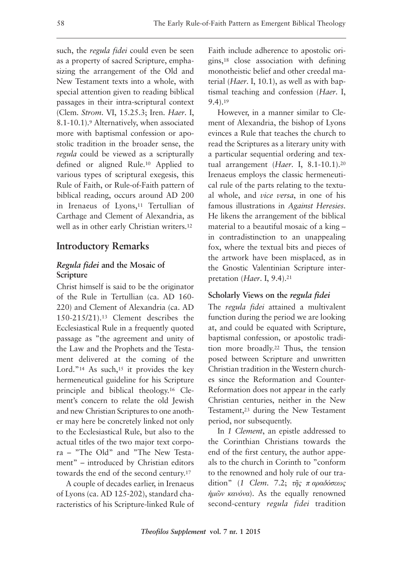such, the *regula fidei* could even be seen as a property of sacred Scripture, emphasizing the arrangement of the Old and New Testament texts into a whole, with special attention given to reading biblical passages in their intra-scriptural context (Clem. *Strom*. VI, 15.25.3; Iren. *Haer*. I, 8.1-10.1).9 Alternatively, when associated more with baptismal confession or apostolic tradition in the broader sense, the *regula* could be viewed as a scripturally defined or aligned Rule.10 Applied to various types of scriptural exegesis, this Rule of Faith, or Rule-of-Faith pattern of biblical reading, occurs around AD 200 in Irenaeus of Lyons,<sup>11</sup> Tertullian of Carthage and Clement of Alexandria, as well as in other early Christian writers.12

## **Introductory Remarks**

### *Regula fidei* **and the Mosaic of Scripture**

Christ himself is said to be the originator of the Rule in Tertullian (ca. AD 160- 220) and Clement of Alexandria (ca. AD 150-215/21).13 Clement describes the Ecclesiastical Rule in a frequently quoted passage as "the agreement and unity of the Law and the Prophets and the Testament delivered at the coming of the Lord."<sup>14</sup> As such,<sup>15</sup> it provides the key hermeneutical guideline for his Scripture principle and biblical theology.16 Clement's concern to relate the old Jewish and new Christian Scriptures to one another may here be concretely linked not only to the Ecclesiastical Rule, but also to the actual titles of the two major text corpora – "The Old" and "The New Testament" – introduced by Christian editors towards the end of the second century.17

A couple of decades earlier, in Irenaeus of Lyons (ca. AD 125-202), standard characteristics of his Scripture-linked Rule of Faith include adherence to apostolic origins,18 close association with defining monotheistic belief and other creedal material (*Haer*. I, 10.1), as well as with baptismal teaching and confession (*Haer*. I, 9.4).19

However, in a manner similar to Clement of Alexandria, the bishop of Lyons evinces a Rule that teaches the church to read the Scriptures as a literary unity with a particular sequential ordering and textual arrangement (*Haer*. I, 8.1-10.1).20 Irenaeus employs the classic hermeneutical rule of the parts relating to the textual whole, and *vice versa*, in one of his famous illustrations in *Against Heresies*. He likens the arrangement of the biblical material to a beautiful mosaic of a king – in contradistinction to an unappealing fox, where the textual bits and pieces of the artwork have been misplaced, as in the Gnostic Valentinian Scripture interpretation (*Haer*. I, 9.4).21

## **Scholarly Views on the** *regula fidei*

The *regula fidei* attained a multivalent function during the period we are looking at, and could be equated with Scripture, baptismal confession, or apostolic tradition more broadly.22 Thus, the tension posed between Scripture and unwritten Christian tradition in the Western churches since the Reformation and Counter-Reformation does not appear in the early Christian centuries, neither in the New Testament,23 during the New Testament period, nor subsequently.

In *1 Clement*, an epistle addressed to the Corinthian Christians towards the end of the first century, the author appeals to the church in Corinth to "conform to the renowned and holy rule of our tradition" (*1 Clem*. 7.2; *τῆς π αραδόσεως ἡμῶν κανόνα*). As the equally renowned second-century *regula fidei* tradition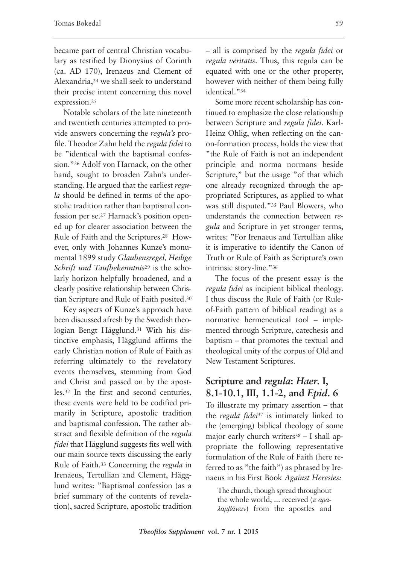became part of central Christian vocabulary as testified by Dionysius of Corinth (ca. AD 170), Irenaeus and Clement of Alexandria,24 we shall seek to understand their precise intent concerning this novel expression.25

Notable scholars of the late nineteenth and twentieth centuries attempted to provide answers concerning the *regula's* profile. Theodor Zahn held the *regula fidei* to be "identical with the baptismal confession."26 Adolf von Harnack, on the other hand, sought to broaden Zahn's understanding. He argued that the earliest *regula* should be defined in terms of the apostolic tradition rather than baptismal confession per se.27 Harnack's position opened up for clearer association between the Rule of Faith and the Scriptures.28 However, only with Johannes Kunze's monumental 1899 study *Glaubensregel, Heilige Schrift und Taufbekenntnis*<sup>29</sup> is the scholarly horizon helpfully broadened, and a clearly positive relationship between Christian Scripture and Rule of Faith posited.30

Key aspects of Kunze's approach have been discussed afresh by the Swedish theologian Bengt Hägglund.31 With his distinctive emphasis, Hägglund affirms the early Christian notion of Rule of Faith as referring ultimately to the revelatory events themselves, stemming from God and Christ and passed on by the apostles.32 In the first and second centuries, these events were held to be codified primarily in Scripture, apostolic tradition and baptismal confession. The rather abstract and flexible definition of the *regula fidei* that Hägglund suggests fits well with our main source texts discussing the early Rule of Faith.33 Concerning the *regula* in Irenaeus, Tertullian and Clement, Hägglund writes: "Baptismal confession (as a brief summary of the contents of revelation), sacred Scripture, apostolic tradition – all is comprised by the *regula fidei* or *regula veritatis*. Thus, this regula can be equated with one or the other property, however with neither of them being fully identical."34

Some more recent scholarship has continued to emphasize the close relationship between Scripture and *regula fidei*. Karl-Heinz Ohlig, when reflecting on the canon-formation process, holds the view that "the Rule of Faith is not an independent principle and norma normans beside Scripture," but the usage "of that which one already recognized through the appropriated Scriptures, as applied to what was still disputed."35 Paul Blowers, who understands the connection between *regula* and Scripture in yet stronger terms, writes: "For Irenaeus and Tertullian alike it is imperative to identify the Canon of Truth or Rule of Faith as Scripture's own intrinsic story-line."36

The focus of the present essay is the *regula fidei* as incipient biblical theology. I thus discuss the Rule of Faith (or Ruleof-Faith pattern of biblical reading) as a normative hermeneutical tool – implemented through Scripture, catechesis and baptism – that promotes the textual and theological unity of the corpus of Old and New Testament Scriptures.

## **Scripture and** *regula***:** *Haer***. I, 8.1-10.1, III, 1.1-2, and** *Epid***. 6**

To illustrate my primary assertion – that the *regula fidei*<sup>37</sup> is intimately linked to the (emerging) biblical theology of some major early church writers $38 - I$  shall appropriate the following representative formulation of the Rule of Faith (here referred to as "the faith") as phrased by Irenaeus in his First Book *Against Heresies:*

The church, though spread throughout the whole world, ... received (*π αραλαμβάνειν*) from the apostles and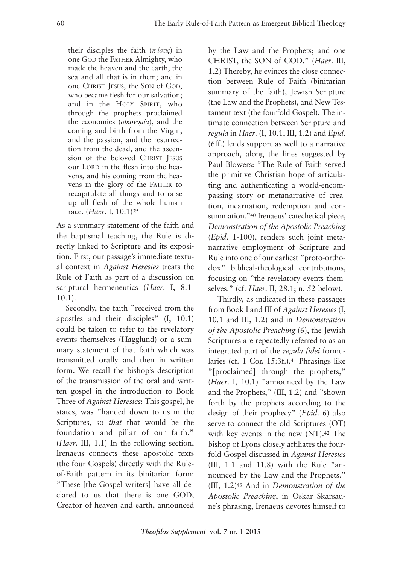their disciples the faith (*π ίστις*) in one GOD the FATHER Almighty, who made the heaven and the earth, the sea and all that is in them; and in one CHRIST JESUS, the SON of GOD, who became flesh for our salvation; and in the HOLY SPIRIT, who through the prophets proclaimed the economies (*οἰκονομία*), and the coming and birth from the Virgin, and the passion, and the resurrection from the dead, and the ascension of the beloved CHRIST JESUS our LORD in the flesh into the heavens, and his coming from the heavens in the glory of the FATHER to recapitulate all things and to raise up all flesh of the whole human race. (*Haer*. I, 10.1)39

As a summary statement of the faith and the baptismal teaching, the Rule is directly linked to Scripture and its exposition. First, our passage's immediate textual context in *Against Heresies* treats the Rule of Faith as part of a discussion on scriptural hermeneutics (*Haer*. I, 8.1- 10.1).

Secondly, the faith "received from the apostles and their disciples" (I, 10.1) could be taken to refer to the revelatory events themselves (Hägglund) or a summary statement of that faith which was transmitted orally and then in written form. We recall the bishop's description of the transmission of the oral and written gospel in the introduction to Book Three of *Against Heresies*: This gospel, he states, was "handed down to us in the Scriptures, so *that* that would be the foundation and pillar of our faith." (*Haer*. III, 1.1) In the following section, Irenaeus connects these apostolic texts (the four Gospels) directly with the Ruleof-Faith pattern in its binitarian form: "These [the Gospel writers] have all declared to us that there is one GOD, Creator of heaven and earth, announced by the Law and the Prophets; and one CHRIST, the SON of GOD." (*Haer*. III, 1.2) Thereby, he evinces the close connection between Rule of Faith (binitarian summary of the faith), Jewish Scripture (the Law and the Prophets), and New Testament text (the fourfold Gospel). The intimate connection between Scripture and *regula* in *Haer*. (I, 10.1; III, 1.2) and *Epid*. (6ff.) lends support as well to a narrative approach, along the lines suggested by Paul Blowers: "The Rule of Faith served the primitive Christian hope of articulating and authenticating a world-encompassing story or metanarrative of creation, incarnation, redemption and consummation."<sup>40</sup> Irenaeus' catechetical piece, *Demonstration of the Apostolic Preaching* (*Epid*. 1-100), renders such joint metanarrative employment of Scripture and Rule into one of our earliest "proto-orthodox" biblical-theological contributions, focusing on "the revelatory events themselves." (cf. *Haer*. II, 28.1; n. 52 below).

Thirdly, as indicated in these passages from Book I and III of *Against Heresies* (I, 10.1 and III, 1.2) and in *Demonstration of the Apostolic Preaching* (6), the Jewish Scriptures are repeatedly referred to as an integrated part of the *regula fidei* formularies (cf. 1 Cor. 15:3f.).41 Phrasings like "[proclaimed] through the prophets," (*Haer*. I, 10.1) "announced by the Law and the Prophets," (III, 1.2) and "shown forth by the prophets according to the design of their prophecy" (*Epid*. 6) also serve to connect the old Scriptures (OT) with key events in the new (NT).42 The bishop of Lyons closely affiliates the fourfold Gospel discussed in *Against Heresies* (III, 1.1 and 11.8) with the Rule "announced by the Law and the Prophets." (III, 1.2)43 And in *Demonstration of the Apostolic Preaching*, in Oskar Skarsaune's phrasing, Irenaeus devotes himself to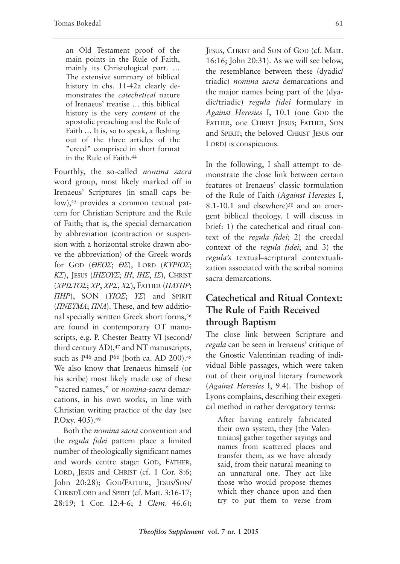an Old Testament proof of the main points in the Rule of Faith, mainly its Christological part. … The extensive summary of biblical history in chs. 11-42a clearly demonstrates the *catechetical* nature of Irenaeus' treatise … this biblical history is the very *content* of the apostolic preaching and the Rule of Faith … It is, so to speak, a fleshing out of the three articles of the "creed" comprised in short format in the Rule of Faith.44

Fourthly, the so-called *nomina sacra* word group, most likely marked off in Irenaeus' Scriptures (in small caps below),45 provides a common textual pattern for Christian Scripture and the Rule of Faith; that is, the special demarcation by abbreviation (contraction or suspension with a horizontal stroke drawn above the abbreviation) of the Greek words for GOD (*ΘΕΟΣ*; *ΘΣ*), LORD (*ΚΥΡΙΟΣ*; *ΚΣ*), JESUS (*ΙΗΣΟΥΣ*; *ΙΗ*, *ΙΗΣ*, *ΙΣ*), CHRIST (*ΧΡΙΣΤΟΣ*; *ΧΡ*, *ΧΡΣ*, *ΧΣ*), FATHER (*ΠΑΤΗΡ*; *ΠΗΡ*), SON (*ΥΙΟΣ*; *ΥΣ*) and SPIRIT (*ΠΝΕΥΜΑ*; *ΠΝΑ*). These, and few additional specially written Greek short forms,46 are found in contemporary OT manuscripts, e.g. P. Chester Beatty VI (second/ third century AD),<sup>47</sup> and NT manuscripts, such as  $P^{46}$  and  $P^{66}$  (both ca. AD 200).<sup>48</sup> We also know that Irenaeus himself (or his scribe) most likely made use of these "sacred names," or *nomina-sacra* demarcations, in his own works, in line with Christian writing practice of the day (see P.Oxy. 405).49

Both the *nomina sacra* convention and the *regula fidei* pattern place a limited number of theologically significant names and words centre stage: GOD, FATHER, LORD, JESUS and CHRIST (cf. 1 Cor. 8:6; John 20:28); GOD/FATHER, JESUS/SON/ CHRIST/LORD and SPIRIT (cf. Matt. 3:16-17; 28:19; 1 Cor. 12:4-6; *1 Clem*. 46.6); JESUS, CHRIST and SON of GOD (cf. Matt. 16:16; John 20:31). As we will see below, the resemblance between these (dyadic/ triadic) *nomina sacra* demarcations and the major names being part of the (dyadic/triadic) *regula fidei* formulary in *Against Heresies* I, 10.1 (one GOD the FATHER, one CHRIST JESUS; FATHER, SON and SPIRIT; the beloved CHRIST JESUS our LORD) is conspicuous.

In the following, I shall attempt to demonstrate the close link between certain features of Irenaeus' classic formulation of the Rule of Faith (*Against Heresies* I, 8.1-10.1 and elsewhere)<sup>50</sup> and an emergent biblical theology. I will discuss in brief: 1) the catechetical and ritual context of the *regula fidei*; 2) the creedal context of the *regula fidei*; and 3) the *regula's* textual–scriptural contextualization associated with the scribal nomina sacra demarcations.

## **Catechetical and Ritual Context: The Rule of Faith Received through Baptism**

The close link between Scripture and *regula* can be seen in Irenaeus' critique of the Gnostic Valentinian reading of individual Bible passages, which were taken out of their original literary framework (*Against Heresies* I, 9.4). The bishop of Lyons complains, describing their exegetical method in rather derogatory terms:

After having entirely fabricated their own system, they [the Valentinians] gather together sayings and names from scattered places and transfer them, as we have already said, from their natural meaning to an unnatural one. They act like those who would propose themes which they chance upon and then try to put them to verse from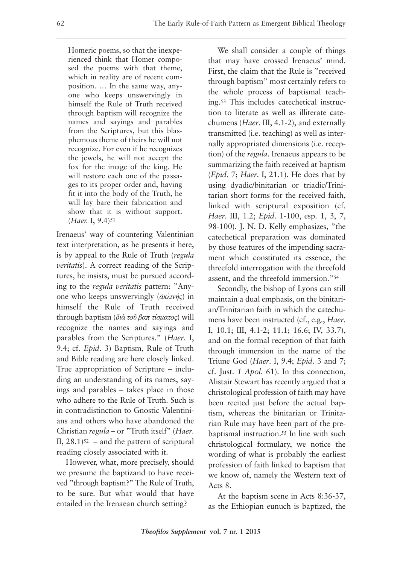Homeric poems, so that the inexperienced think that Homer composed the poems with that theme, which in reality are of recent composition. … In the same way, anyone who keeps unswervingly in himself the Rule of Truth received through baptism will recognize the names and sayings and parables from the Scriptures, but this blasphemous theme of theirs he will not recognize. For even if he recognizes the jewels, he will not accept the fox for the image of the king. He will restore each one of the passages to its proper order and, having fit it into the body of the Truth, he will lay bare their fabrication and show that it is without support. (*Haer.* I, 9.4)51

Irenaeus' way of countering Valentinian text interpretation, as he presents it here, is by appeal to the Rule of Truth (*regula veritatis*). A correct reading of the Scriptures, he insists, must be pursued according to the *regula veritatis* pattern: "Anyone who keeps unswervingly (*ἀκλινής*) in himself the Rule of Truth received through baptism (*διὰ τοῦ βαπ τίσματος*) will recognize the names and sayings and parables from the Scriptures." (*Haer*. I, 9.4; cf. *Epid*. 3) Baptism, Rule of Truth and Bible reading are here closely linked. True appropriation of Scripture – including an understanding of its names, sayings and parables – takes place in those who adhere to the Rule of Truth. Such is in contradistinction to Gnostic Valentinians and others who have abandoned the Christian *regula* – or "Truth itself" (*Haer*. II,  $28.1$ )<sup>52</sup> – and the pattern of scriptural reading closely associated with it.

However, what, more precisely, should we presume the baptizand to have received "through baptism?" The Rule of Truth, to be sure. But what would that have entailed in the Irenaean church setting?

We shall consider a couple of things that may have crossed Irenaeus' mind. First, the claim that the Rule is "received through baptism" most certainly refers to the whole process of baptismal teaching.53 This includes catechetical instruction to literate as well as illiterate catechumens (*Haer*. III, 4.1-2), and externally transmitted (i.e. teaching) as well as internally appropriated dimensions (i.e. reception) of the *regula*. Irenaeus appears to be summarizing the faith received at baptism (*Epid*. 7; *Haer*. I, 21.1). He does that by using dyadic/binitarian or triadic/Trinitarian short forms for the received faith, linked with scriptural exposition (cf. *Haer*. III, 1.2; *Epid*. 1-100, esp. 1, 3, 7, 98-100). J. N. D. Kelly emphasizes, "the catechetical preparation was dominated by those features of the impending sacrament which constituted its essence, the threefold interrogation with the threefold assent, and the threefold immersion."54

Secondly, the bishop of Lyons can still maintain a dual emphasis, on the binitarian/Trinitarian faith in which the catechumens have been instructed (cf., e.g., *Haer*. I, 10.1; III, 4.1-2; 11.1; 16.6; IV, 33.7), and on the formal reception of that faith through immersion in the name of the Triune God (*Haer*. I, 9.4; *Epid*. 3 and 7; cf. Just. *1 Apol*. 61). In this connection, Alistair Stewart has recently argued that a christological profession of faith may have been recited just before the actual baptism, whereas the binitarian or Trinitarian Rule may have been part of the prebaptismal instruction.55 In line with such christological formulary, we notice the wording of what is probably the earliest profession of faith linked to baptism that we know of, namely the Western text of Acts 8.

At the baptism scene in Acts 8:36-37, as the Ethiopian eunuch is baptized, the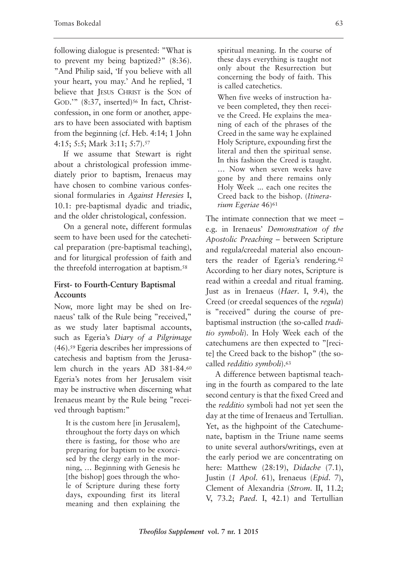following dialogue is presented: "What is to prevent my being baptized?" (8:36). "And Philip said, 'If you believe with all your heart, you may.' And he replied, 'I believe that JESUS CHRIST is the SON of GOD."" (8:37, inserted)<sup>56</sup> In fact, Christconfession, in one form or another, appears to have been associated with baptism from the beginning (cf. Heb. 4:14; 1 John 4:15; 5:5; Mark 3:11; 5:7).57

If we assume that Stewart is right about a christological profession immediately prior to baptism, Irenaeus may have chosen to combine various confessional formularies in *Against Heresies* I, 10.1: pre-baptismal dyadic and triadic, and the older christological, confession.

On a general note, different formulas seem to have been used for the catechetical preparation (pre-baptismal teaching), and for liturgical profession of faith and the threefold interrogation at baptism.58

#### **First- to Fourth-Century Baptismal Accounts**

Now, more light may be shed on Irenaeus' talk of the Rule being "received," as we study later baptismal accounts, such as Egeria's *Diary of a Pilgrimage* (46).59 Egeria describes her impressions of catechesis and baptism from the Jerusalem church in the years AD 381-84.60 Egeria's notes from her Jerusalem visit may be instructive when discerning what Irenaeus meant by the Rule being "received through baptism:"

It is the custom here [in Jerusalem], throughout the forty days on which there is fasting, for those who are preparing for baptism to be exorcised by the clergy early in the morning, … Beginning with Genesis he [the bishop] goes through the whole of Scripture during these forty days, expounding first its literal meaning and then explaining the

spiritual meaning. In the course of these days everything is taught not only about the Resurrection but concerning the body of faith. This is called catechetics.

When five weeks of instruction have been completed, they then receive the Creed. He explains the meaning of each of the phrases of the Creed in the same way he explained Holy Scripture, expounding first the literal and then the spiritual sense. In this fashion the Creed is taught. … Now when seven weeks have gone by and there remains only Holy Week ... each one recites the Creed back to the bishop. (*Itinerarium Egeriae* 46)61

The intimate connection that we meet – e.g. in Irenaeus' *Demonstration of the Apostolic Preaching* – between Scripture and regula/creedal material also encounters the reader of Egeria's rendering.62 According to her diary notes, Scripture is read within a creedal and ritual framing. Just as in Irenaeus (*Haer*. I, 9.4), the Creed (or creedal sequences of the *regula*) is "received" during the course of prebaptismal instruction (the so-called *traditio symboli*). In Holy Week each of the catechumens are then expected to "[recite] the Creed back to the bishop" (the socalled *redditio symboli*).63

A difference between baptismal teaching in the fourth as compared to the late second century is that the fixed Creed and the *redditio* symboli had not yet seen the day at the time of Irenaeus and Tertullian. Yet, as the highpoint of the Catechumenate, baptism in the Triune name seems to unite several authors/writings, even at the early period we are concentrating on here: Matthew (28:19), *Didache* (7.1), Justin (*1 Apol*. 61), Irenaeus (*Epid*. 7), Clement of Alexandria (*Strom*. II, 11.2; V, 73.2; *Paed*. I, 42.1) and Tertullian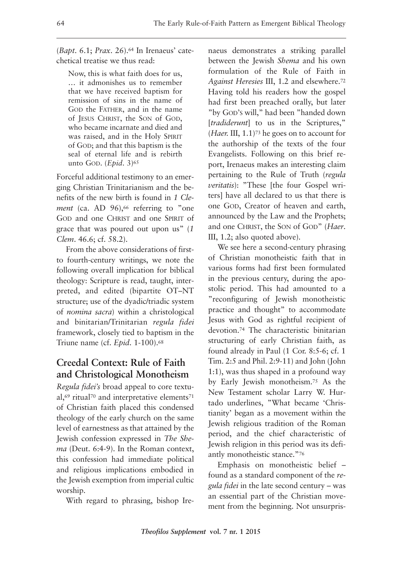(*Bapt*. 6.1; *Prax*. 26).64 In Irenaeus' catechetical treatise we thus read:

Now, this is what faith does for us, … it admonishes us to remember that we have received baptism for remission of sins in the name of GOD the FATHER, and in the name of JESUS CHRIST, the SON of GOD, who became incarnate and died and was raised, and in the Holy SPIRIT of GOD; and that this baptism is the seal of eternal life and is rebirth unto GOD. (*Epid.* 3)<sup>65</sup>

Forceful additional testimony to an emerging Christian Trinitarianism and the benefits of the new birth is found in *1 Clement* (ca. AD 96),<sup>66</sup> referring to "one GOD and one CHRIST and one SPIRIT of grace that was poured out upon us" (*1 Clem*. 46.6; cf. 58.2).

From the above considerations of firstto fourth-century writings, we note the following overall implication for biblical theology: Scripture is read, taught, interpreted, and edited (bipartite OT–NT structure; use of the dyadic/triadic system of *nomina sacra*) within a christological and binitarian/Trinitarian *regula fidei* framework, closely tied to baptism in the Triune name (cf. *Epid*. 1-100).68

## **Creedal Context: Rule of Faith and Christological Monotheism**

*Regula fidei's* broad appeal to core textual,<sup>69</sup> ritual<sup>70</sup> and interpretative elements<sup>71</sup> of Christian faith placed this condensed theology of the early church on the same level of earnestness as that attained by the Jewish confession expressed in *The Shema* (Deut. 6:4-9). In the Roman context, this confession had immediate political and religious implications embodied in the Jewish exemption from imperial cultic worship.

With regard to phrasing, bishop Ire-

naeus demonstrates a striking parallel between the Jewish *Shema* and his own formulation of the Rule of Faith in *Against Heresies* III, 1.2 and elsewhere.72 Having told his readers how the gospel had first been preached orally, but later "by GOD'S will," had been "handed down [*tradiderunt*] to us in the Scriptures," (*Haer.* III, 1.1)73 he goes on to account for the authorship of the texts of the four Evangelists. Following on this brief report, Irenaeus makes an interesting claim pertaining to the Rule of Truth (*regula veritatis*): "These [the four Gospel writers] have all declared to us that there is one GOD, Creator of heaven and earth, announced by the Law and the Prophets; and one CHRIST, the SON of GOD" (*Haer*. III, 1.2; also quoted above).

We see here a second-century phrasing of Christian monotheistic faith that in various forms had first been formulated in the previous century, during the apostolic period. This had amounted to a "reconfiguring of Jewish monotheistic practice and thought" to accommodate Jesus with God as rightful recipient of devotion.74 The characteristic binitarian structuring of early Christian faith, as found already in Paul (1 Cor. 8:5-6; cf. 1 Tim. 2:5 and Phil. 2:9-11) and John (John 1:1), was thus shaped in a profound way by Early Jewish monotheism.75 As the New Testament scholar Larry W. Hurtado underlines, "What became 'Christianity' began as a movement within the Jewish religious tradition of the Roman period, and the chief characteristic of Jewish religion in this period was its defiantly monotheistic stance."76

Emphasis on monotheistic belief – found as a standard component of the *regula fidei* in the late second century – was an essential part of the Christian movement from the beginning. Not unsurpris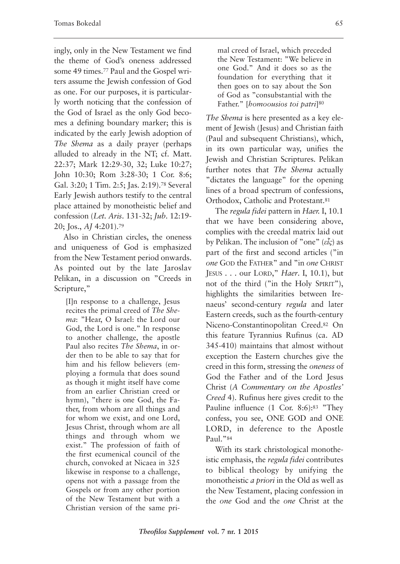ingly, only in the New Testament we find the theme of God's oneness addressed some 49 times.77 Paul and the Gospel writers assume the Jewish confession of God as one. For our purposes, it is particularly worth noticing that the confession of the God of Israel as the only God becomes a defining boundary marker; this is indicated by the early Jewish adoption of *The Shema* as a daily prayer (perhaps alluded to already in the NT; cf. Matt. 22:37; Mark 12:29-30, 32; Luke 10:27; John 10:30; Rom 3:28-30; 1 Cor. 8:6; Gal. 3:20; 1 Tim. 2:5; Jas. 2:19).78 Several Early Jewish authors testify to the central place attained by monotheistic belief and confession (*Let. Aris*. 131-32; *Jub*. 12:19- 20; Jos., *AJ* 4:201).79

Also in Christian circles, the oneness and uniqueness of God is emphasized from the New Testament period onwards. As pointed out by the late Jaroslav Pelikan, in a discussion on "Creeds in Scripture,"

[I]n response to a challenge, Jesus recites the primal creed of *The Shema*: "Hear, O Israel: the Lord our God, the Lord is one." In response to another challenge, the apostle Paul also recites *The Shema*, in order then to be able to say that for him and his fellow believers (employing a formula that does sound as though it might itself have come from an earlier Christian creed or hymn), "there is one God, the Father, from whom are all things and for whom we exist, and one Lord, Jesus Christ, through whom are all things and through whom we exist." The profession of faith of the first ecumenical council of the church, convoked at Nicaea in 325 likewise in response to a challenge, opens not with a passage from the Gospels or from any other portion of the New Testament but with a Christian version of the same primal creed of Israel, which preceded the New Testament: "We believe in one God." And it does so as the foundation for everything that it then goes on to say about the Son of God as "consubstantial with the Father." [*homoousios toi patri*]80

*The Shema* is here presented as a key element of Jewish (Jesus) and Christian faith (Paul and subsequent Christians), which, in its own particular way, unifies the Jewish and Christian Scriptures. Pelikan further notes that *The Shema* actually "dictates the language" for the opening lines of a broad spectrum of confessions, Orthodox, Catholic and Protestant.81

The *regula fidei* pattern in *Haer.* I, 10.1 that we have been considering above, complies with the creedal matrix laid out by Pelikan. The inclusion of "one" (*εἷς*) as part of the first and second articles ("in *one* GOD the FATHER" and "in *one* CHRIST JESUS . . . our LORD," *Haer*. I, 10.1), but not of the third ("in the Holy SPIRIT"), highlights the similarities between Irenaeus' second-century *regula* and later Eastern creeds, such as the fourth-century Niceno-Constantinopolitan Creed.82 On this feature Tyrannius Rufinus (ca. AD 345-410) maintains that almost without exception the Eastern churches give the creed in this form, stressing the *oneness* of God the Father and of the Lord Jesus Christ (*A Commentary on the Apostles' Creed* 4). Rufinus here gives credit to the Pauline influence (1 Cor. 8:6):83 "They confess, you see, ONE GOD and ONE LORD, in deference to the Apostle Paul."84

With its stark christological monotheistic emphasis, the *regula fidei* contributes to biblical theology by unifying the monotheistic *a priori* in the Old as well as the New Testament, placing confession in the *one* God and the *one* Christ at the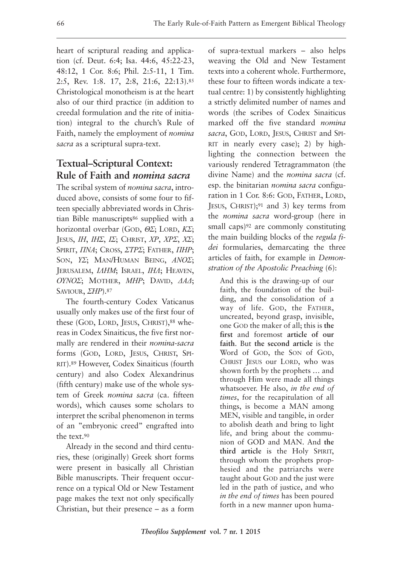heart of scriptural reading and application (cf. Deut. 6:4; Isa. 44:6, 45:22-23, 48:12, 1 Cor. 8:6; Phil. 2:5-11, 1 Tim. 2:5, Rev. 1:8. 17, 2:8, 21:6, 22:13).85 Christological monotheism is at the heart also of our third practice (in addition to creedal formulation and the rite of initiation) integral to the church's Rule of Faith, namely the employment of *nomina sacra* as a scriptural supra-text.

# **Textual–Scriptural Context: Rule of Faith and** *nomina sacra*

The scribal system of *nomina sacra*, introduced above, consists of some four to fifteen specially abbreviated words in Christian Bible manuscripts86 supplied with a horizontal overbar (GOD, *ΘΣ*; LORD, *ΚΣ*; JESUS, *ΙΗ*, *ΙΗΣ*, *ΙΣ*; CHRIST, *ΧΡ*, *ΧΡΣ*, *ΧΣ*; SPIRIT, *ΠΝΑ*; CROSS, *ΣΤΡΣ*; FATHER, *ΠΗΡ*; SON, *ΥΣ*; MAN/HUMAN BEING, *ΑΝΟΣ*; JERUSALEM, *ΙΛΗΜ*; ISRAEL, *ΙΗΛ*; HEAVEN, *ΟΥΝΟΣ*; MOTHER, *ΜΗΡ*; DAVID, *ΔΑΔ*; SAVIOUR, *ΣHΡ*).87

The fourth-century Codex Vaticanus usually only makes use of the first four of these (GOD, LORD, JESUS, CHRIST),<sup>88</sup> whereas in Codex Sinaiticus, the five first normally are rendered in their *nomina-sacra* forms (GOD, LORD, JESUS, CHRIST, SPI-RIT).89 However, Codex Sinaiticus (fourth century) and also Codex Alexandrinus (fifth century) make use of the whole system of Greek *nomina sacra* (ca. fifteen words), which causes some scholars to interpret the scribal phenomenon in terms of an "embryonic creed" engrafted into the text.90

Already in the second and third centuries, these (originally) Greek short forms were present in basically all Christian Bible manuscripts. Their frequent occurrence on a typical Old or New Testament page makes the text not only specifically Christian, but their presence – as a form of supra-textual markers – also helps weaving the Old and New Testament texts into a coherent whole. Furthermore, these four to fifteen words indicate a textual centre: 1) by consistently highlighting a strictly delimited number of names and words (the scribes of Codex Sinaiticus marked off the five standard *nomina sacra*, GOD, LORD, JESUS, CHRIST and SPI-RIT in nearly every case); 2) by highlighting the connection between the variously rendered Tetragrammaton (the divine Name) and the *nomina sacra* (cf. esp. the binitarian *nomina sacra* configuration in 1 Cor. 8:6: GOD, FATHER, LORD, JESUS, CHRIST); $91$  and 3) key terms from the *nomina sacra* word-group (here in small caps)<sup>92</sup> are commonly constituting the main building blocks of the *regula fidei* formularies, demarcating the three articles of faith, for example in *Demonstration of the Apostolic Preaching* (6):

And this is the drawing-up of our faith, the foundation of the building, and the consolidation of a way of life. GOD, the FATHER, uncreated, beyond grasp, invisible, one GOD the maker of all; this is **the first** and foremost **article of our faith**. But **the second article** is the Word of GOD, the SON of GOD, CHRIST JESUS our LORD, who was shown forth by the prophets … and through Him were made all things whatsoever. He also, *in the end of times*, for the recapitulation of all things, is become a MAN among MEN, visible and tangible, in order to abolish death and bring to light life, and bring about the communion of GOD and MAN. And **the third article** is the Holy SPIRIT, through whom the prophets prophesied and the patriarchs were taught about GOD and the just were led in the path of justice, and who *in the end of times* has been poured forth in a new manner upon huma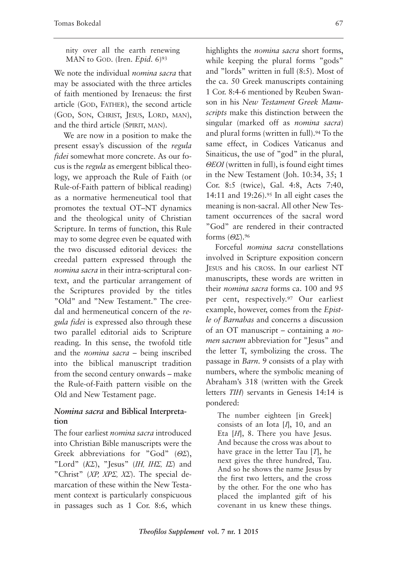nity over all the earth renewing MAN to GOD. (Iren. *Epid.* 6)<sup>93</sup>

We note the individual *nomina sacra* that may be associated with the three articles of faith mentioned by Irenaeus: the first article (GOD, FATHER), the second article (GOD, SON, CHRIST, JESUS, LORD, MAN), and the third article (SPIRIT, MAN).

We are now in a position to make the present essay's discussion of the *regula fidei* somewhat more concrete. As our focus is the *regula* as emergent biblical theology, we approach the Rule of Faith (or Rule-of-Faith pattern of biblical reading) as a normative hermeneutical tool that promotes the textual OT–NT dynamics and the theological unity of Christian Scripture. In terms of function, this Rule may to some degree even be equated with the two discussed editorial devices: the creedal pattern expressed through the *nomina sacra* in their intra-scriptural context, and the particular arrangement of the Scriptures provided by the titles "Old" and "New Testament." The creedal and hermeneutical concern of the *regula fidei* is expressed also through these two parallel editorial aids to Scripture reading. In this sense, the twofold title and the *nomina sacra* – being inscribed into the biblical manuscript tradition from the second century onwards – make the Rule-of-Faith pattern visible on the Old and New Testament page.

#### *Nomina sacra* **and Biblical Interpretation**

The four earliest *nomina sacra* introduced into Christian Bible manuscripts were the Greek abbreviations for "God" (*ΘΣ*), "Lord" (*ΚΣ*), "Jesus" (*ΙΗ, ΙΗΣ, ΙΣ*) and "Christ" (*ΧΡ, ΧΡΣ, ΧΣ*). The special demarcation of these within the New Testament context is particularly conspicuous in passages such as 1 Cor. 8:6, which highlights the *nomina sacra* short forms, while keeping the plural forms "gods" and "lords" written in full (8:5). Most of the ca. 50 Greek manuscripts containing 1 Cor. 8:4-6 mentioned by Reuben Swanson in his *New Testament Greek Manuscripts* make this distinction between the singular (marked off as *nomina sacra*) and plural forms (written in full).<sup>94</sup> To the same effect, in Codices Vaticanus and Sinaiticus, the use of "god" in the plural, *ΘΕΟΙ* (written in full), is found eight times in the New Testament (Joh. 10:34, 35; 1 Cor. 8:5 (twice), Gal. 4:8, Acts 7:40, 14:11 and 19:26).95 In all eight cases the meaning is non-sacral. All other New Testament occurrences of the sacral word "God" are rendered in their contracted forms (*ΘΣ*).96

Forceful *nomina sacra* constellations involved in Scripture exposition concern JESUS and his CROSS. In our earliest NT manuscripts, these words are written in their *nomina sacra* forms ca. 100 and 95 per cent, respectively.97 Our earliest example, however, comes from the *Epistle of Barnabas* and concerns a discussion of an OT manuscript – containing a *nomen sacrum* abbreviation for "Jesus" and the letter T, symbolizing the cross. The passage in *Barn*. 9 consists of a play with numbers, where the symbolic meaning of Abraham's 318 (written with the Greek letters *ΤΙΗ*) servants in Genesis 14:14 is pondered:

The number eighteen [in Greek] consists of an Iota [*Ι*], 10, and an Eta [*Η*], 8. There you have Jesus. And because the cross was about to have grace in the letter Tau [*T*], he next gives the three hundred, Tau. And so he shows the name Jesus by the first two letters, and the cross by the other. For the one who has placed the implanted gift of his covenant in us knew these things.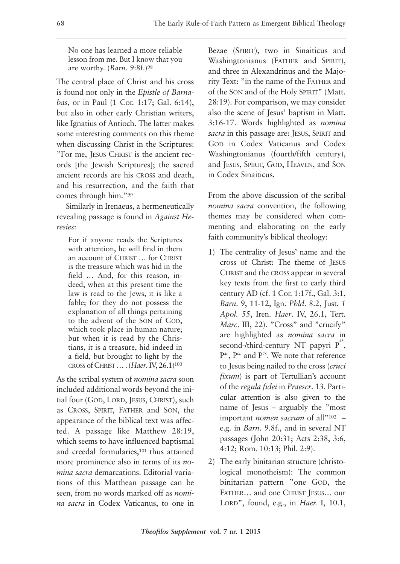No one has learned a more reliable lesson from me. But I know that you are worthy. (*Barn*. 9:8f.)98

The central place of Christ and his cross is found not only in the *Epistle of Barnabas*, or in Paul (1 Cor. 1:17; Gal. 6:14), but also in other early Christian writers, like Ignatius of Antioch. The latter makes some interesting comments on this theme when discussing Christ in the Scriptures: "For me, JESUS CHRIST is the ancient records [the Jewish Scriptures]; the sacred ancient records are his CROSS and death, and his resurrection, and the faith that comes through him."99

Similarly in Irenaeus, a hermeneutically revealing passage is found in *Against Heresies*:

For if anyone reads the Scriptures with attention, he will find in them an account of CHRIST … for CHRIST is the treasure which was hid in the field … And, for this reason, indeed, when at this present time the law is read to the Jews, it is like a fable; for they do not possess the explanation of all things pertaining to the advent of the SON of GOD, which took place in human nature; but when it is read by the Christians, it is a treasure, hid indeed in a field, but brought to light by the CROSS of CHRIST … . (*Haer*. IV, 26.1)100

As the scribal system of *nomina sacra* soon included additional words beyond the initial four (GOD, LORD, JESUS, CHRIST), such as CROSS, SPIRIT, FATHER and SON, the appearance of the biblical text was affected. A passage like Matthew 28:19, which seems to have influenced baptismal and creedal formularies,101 thus attained more prominence also in terms of its *nomina sacra* demarcations. Editorial variations of this Matthean passage can be seen, from no words marked off as *nomina sacra* in Codex Vaticanus, to one in

Bezae (SPIRIT), two in Sinaiticus and Washingtonianus (FATHER and SPIRIT), and three in Alexandrinus and the Majority Text: "in the name of the FATHER and of the SON and of the Holy SPIRIT" (Matt. 28:19). For comparison, we may consider also the scene of Jesus' baptism in Matt. 3:16-17. Words highlighted as *nomina sacra* in this passage are: JESUS, SPIRIT and GOD in Codex Vaticanus and Codex Washingtonianus (fourth/fifth century), and JESUS, SPIRIT, GOD, HEAVEN, and SON in Codex Sinaiticus.

From the above discussion of the scribal *nomina sacra* convention, the following themes may be considered when commenting and elaborating on the early faith community's biblical theology:

- 1) The centrality of Jesus' name and the cross of Christ: The theme of JESUS CHRIST and the CROSS appear in several key texts from the first to early third century AD (cf. 1 Cor. 1:17f., Gal. 3:1, *Barn*. 9, 11-12, Ign. *Phld*. 8.2, Just. *1 Apol.* 55, Iren. *Haer*. IV, 26.1, Tert. *Marc*. III, 22). "Cross" and "crucify" are highlighted as *nomina sacra* in second-/third-century NT papyri  $P^{45}$ , P<sup>46</sup>, P<sup>66</sup> and P<sup>75</sup>. We note that reference to Jesus being nailed to the cross (*cruci fixum*) is part of Tertullian's account of the *regula fidei* in *Praescr*. 13. Particular attention is also given to the name of Jesus – arguably the "most important *nomen sacrum* of all"102 – e.g. in *Barn*. 9.8f., and in several NT passages (John 20:31; Acts 2:38, 3:6, 4:12; Rom. 10:13; Phil. 2:9).
- 2) The early binitarian structure (christological monotheism): The common binitarian pattern "one GOD, the FATHER… and one CHRIST JESUS… our LORD", found, e.g., in *Haer.* I, 10.1,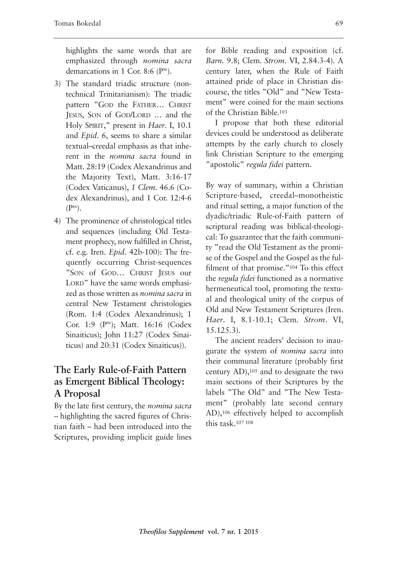highlights the same words that are emphasized through *nomina sacra* demarcations in 1 Cor. 8:6  $(P<sup>46</sup>)$ .

- 3) The standard triadic structure (nontechnical Trinitarianism): The triadic pattern "GOD the FATHER… CHRIST JESUS, SON of GOD/LORD … and the Holy SPIRIT," present in *Haer*. I, 10.1 and *Epid*. 6, seems to share a similar textual–creedal emphasis as that inherent in the *nomina sacra* found in Matt. 28:19 (Codex Alexandrinus and the Majority Text), Matt. 3:16-17 (Codex Vaticanus), *1 Clem*. 46.6 (Codex Alexandrinus), and 1 Cor. 12:4-6  $(P^{46})$ .
- 4) The prominence of christological titles and sequences (including Old Testament prophecy, now fulfilled in Christ, cf. e.g. Iren. *Epid*. 42b-100): The frequently occurring Christ-sequences "SON of GOD… CHRIST JESUS our LORD" have the same words emphasized as those written as *nomina sacra* in central New Testament christologies (Rom. 1:4 (Codex Alexandrinus); 1 Cor. 1:9 (P<sup>46</sup>); Matt. 16:16 (Codex Sinaiticus); John 11:27 (Codex Sinaiticus) and 20:31 (Codex Sinaiticus)).

## **The Early Rule-of-Faith Pattern as Emergent Biblical Theology: A Proposal**

By the late first century, the *nomina sacra* – highlighting the sacred figures of Christian faith – had been introduced into the Scriptures, providing implicit guide lines

for Bible reading and exposition (cf. *Barn*. 9.8; Clem. *Strom*. VI, 2.84.3-4). A century later, when the Rule of Faith attained pride of place in Christian discourse, the titles "Old" and "New Testament" were coined for the main sections of the Christian Bible.103

I propose that both these editorial devices could be understood as deliberate attempts by the early church to closely link Christian Scripture to the emerging "apostolic" *regula fidei* pattern.

By way of summary, within a Christian Scripture-based, creedal–monotheistic and ritual setting, a major function of the dyadic/triadic Rule-of-Faith pattern of scriptural reading was biblical-theological: To guarantee that the faith community "read the Old Testament as the promise of the Gospel and the Gospel as the fulfilment of that promise."104 To this effect the *regula fidei* functioned as a normative hermeneutical tool, promoting the textual and theological unity of the corpus of Old and New Testament Scriptures (Iren. *Haer*. I, 8.1-10.1; Clem. *Strom*. VI, 15.125.3).

The ancient readers' decision to inaugurate the system of *nomina sacra* into their communal literature (probably first century AD),105 and to designate the two main sections of their Scriptures by the labels "The Old" and "The New Testament" (probably late second century AD),106 effectively helped to accomplish this task.107 <sup>108</sup>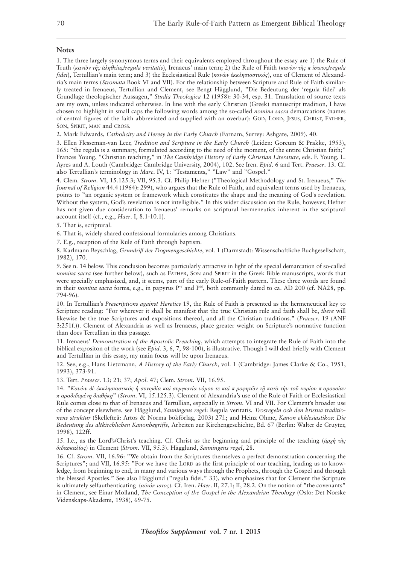#### **Notes**

1. The three largely synonymous terms and their equivalents employed throughout the essay are 1) the Rule of Truth (*κανὼν τῆς ἀληθείας*/*regula veritatis*), Irenaeus' main term; 2) the Rule of Faith (*κανὼν τῆς π ίστεως*/*regula fidei*), Tertullian's main term; and 3) the Ecclesiastical Rule (*κανὼν ἐκκλησιαστικός*), one of Clement of Alexandria's main terms (*Stromata* Book VI and VII). For the relationship between Scripture and Rule of Faith similarly treated in Irenaeus, Tertullian and Clement, see Bengt Hägglund, "Die Bedeutung der 'regula fidei' als Grundlage theologischer Aussagen," *Studia Theologica* 12 (1958): 30-34, esp. 31. Translation of source texts are my own, unless indicated otherwise. In line with the early Christian (Greek) manuscript tradition, I have chosen to highlight in small caps the following words among the so-called *nomina sacra* demarcations (names of central figures of the faith abbreviated and supplied with an overbar): GOD, LORD, JESUS, CHRIST, FATHER, SON, SPIRIT, MAN and CROSS.

2. Mark Edwards, *Catholicity and Heresy in the Early Church* (Farnam, Surrey: Ashgate, 2009), 40.

3. Ellen Flesseman-van Leer, *Tradition and Scripture in the Early Church* (Leiden: Gorcum & Prakke, 1953), 165: "the regula is a summary, formulated according to the need of the moment, of the entire Christian faith;" Frances Young, "Christian teaching," in *The Cambridge History of Early Christian Literature*, eds. F. Young, L. Ayres and A. Louth (Cambridge: Cambridge University, 2004), 102. See Iren. *Epid*. 6 and Tert. *Praescr*. 13. Cf. also Tertullian's terminology in *Marc*. IV, 1: "Testaments," "Law" and "Gospel."

4. Clem. *Strom*. VI, 15.125.3; VII, 95.3. Cf. Philip Hefner ("Theological Methodology and St. Irenaeus," *The Journal of Religion* 44.4 (1964): 299), who argues that the Rule of Faith, and equivalent terms used by Irenaeus, points to "an organic system or framework which constitutes the shape and the meaning of God's revelation. Without the system, God's revelation is not intelligible." In this wider discussion on the Rule, however, Hefner has not given due consideration to Irenaeus' remarks on scriptural hermeneutics inherent in the scriptural account itself (cf., e.g., *Haer*. I, 8.1-10.1).

5. That is, scriptural.

6. That is, widely shared confessional formularies among Christians.

7. E.g., reception of the Rule of Faith through baptism.

8. Karlmann Beyschlag, *Grundriß der Dogmengeschichte*, vol. 1 (Darmstadt: Wissenschaftliche Buchgesellschaft, 1982), 170.

9. See n. 14 below. This conclusion becomes particularly attractive in light of the special demarcation of so-called *nomina sacra* (see further below), such as FATHER, SON and SPIRIT in the Greek Bible manuscripts, words that were specially emphasized, and, it seems, part of the early Rule-of-Faith pattern. These three words are found in their *nomina sacra* forms, e.g., in papyrus P<sup>46</sup> and P<sup>66</sup>, both commonly dated to ca. AD 200 (cf. NA28, pp. 794-96).

10. In Tertullian's *Prescriptions against Heretics* 19, the Rule of Faith is presented as the hermeneutical key to Scripture reading: "For wherever it shall be manifest that the true Christian rule and faith shall be, *there* will likewise be the true Scriptures and expositions thereof, and all the Christian traditions." (*Praescr*. 19 (ANF 3:251f.)). Clement of Alexandria as well as Irenaeus, place greater weight on Scripture's normative function than does Tertullian in this passage.

11. Irenaeus' *Demonstration of the Apostolic Preaching*, which attempts to integrate the Rule of Faith into the biblical expositon of the work (see *Epid*. 3, 6, 7, 98-100), is illustrative. Though I will deal briefly with Clement and Tertullian in this essay, my main focus will be upon Irenaeus.

12. See, e.g., Hans Lietzmann, *A History of the Early Church*, vol. 1 (Cambridge: James Clarke & Co., 1951, 1993), 373-91.

13. Tert. *Praescr*. 13; 21; 37; *Apol*. 47; Clem. *Strom*. VII, 16.95.

14. "Κανών δε εκκλησιαστικός ή συνωδία και συμφωνία νόμου τε και προφητών τη κατά την τού κυρίου παρουσίαν *π αραδιδομένῃ διαθήκῃ*" (*Strom*. VI, 15.125.3). Clement of Alexandria's use of the Rule of Faith or Ecclesiastical Rule comes close to that of Irenaeus and Tertullian, especially in *Strom*. VI and VII. For Clement's broader use of the concept elsewhere, see Hägglund, *Sanningens regel*: Regula veritatis. *Trosregeln och den kristna traditionens struktur* (Skellefteå: Artos & Norma bokförlag, 2003) 27f.; and Heinz Ohme, *Kanon ekklesiastikos: Die Bedeutung des altkirchlichen Kanonbegriffs*, Arbeiten zur Kirchengeschichte, Bd. 67 (Berlin: Walter de Gruyter, 1998), 122ff.

15. I.e., as the Lord's/Christ's teaching. Cf. Christ as the beginning and principle of the teaching (*ἀρχὴ τῆς διδασκαλίας*) in Clement (*Strom*. VII, 95.3). Hägglund, *Sanningens regel*, 28.

16. Cf. *Strom*. VII, 16.96: "We obtain from the Scriptures themselves a perfect demonstration concerning the Scriptures"; and VII, 16.95: "For we have the LORD as the first principle of our teaching, leading us to knowledge, from beginning to end, in many and various ways through the Prophets, through the Gospel and through the blessed Apostles." See also Hägglund ("regula fidei," 33), who emphasizes that for Clement the Scripture is ultimately selfauthenticating (*αὐτόπ ιστος*). Cf. Iren. *Haer*. II, 27.1; II, 28.2. On the notion of "the covenants" in Clement, see Einar Molland, *The Conception of the Gospel in the Alexandrian Theology* (Oslo: Det Norske Videnskaps-Akademi, 1938), 69-75.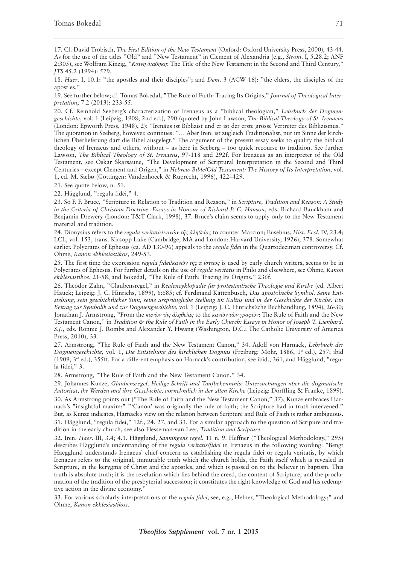17. Cf. David Trobisch, *The First Edition of the New Testament* (Oxford: Oxford University Press, 2000), 43-44. As for the use of the titles "Old" and "New Testament" in Clement of Alexandria (e.g., *Strom*. I, 5.28.2; ANF 2:305), see Wolfram Kinzig, "*Καινὴ διαθήκη*: The Title of the New Testament in the Second and Third Century," *JTS* 45.2 (1994): 529.

18. *Haer*. I, 10.1: "the apostles and their disciples"; and *Dem*. 3 (ACW 16): "the elders, the disciples of the apostles."

19. See further below; cf. Tomas Bokedal, "The Rule of Faith: Tracing Its Origins," *Journal of Theological Interpretation*, 7.2 (2013): 233-55.

20. Cf. Reinhold Seeberg's characterization of Irenaeus as a "biblical theologian," *Lehrbuch der Dogmengeschichte*, vol. 1 (Leipzig, 1908; 2nd ed.), 290 (quoted by John Lawson, *The Biblical Theology of St. Irenaeus* (London: Epworth Press, 1948), 2): "Irenäus ist Biblizist und er ist der erste grosse Vertreter des Biblizismus." The quotation in Seeberg, however, continues: "… Aber Iren. ist zugleich Traditionalist, nur im Sinne der kirchlichen Überlieferung darf die Bibel ausgelegt." The argument of the present essay seeks to qualify the biblical theology of Irenaeus and others, without – as here in Seeberg – too quick recourse to tradition. See further Lawson, *The Biblical Theology of St. Irenaeus*, 97-118 and 292f. For Irenaeus as an interpreter of the Old Testament, see Oskar Skarsaune, "The Development of Scriptural Interpretation in the Second and Third Centuries – except Clement and Origen," in *Hebrew Bible/Old Testament: The History of Its Interpretation*, vol. 1, ed. M. Sæbø (Göttingen: Vandenhoeck & Ruprecht, 1996), 422–429.

21. See quote below, n. 51.

22. Hägglund, "regula fidei," 4.

23. So F. F. Bruce, "Scripture in Relation to Tradition and Reason," in *Scripture, Tradition and Reason: A Study in the Criteria of Christian Doctrine. Essays in Honour of Richard P. C. Hanson*, eds. Richard Bauckham and Benjamin Drewery (London: T&T Clark, 1998), 37. Bruce's claim seems to apply only to the New Testament material and tradition.

24. Dionysius refers to the *regula veritatis*/*κανὼν τῆς ἀληθείας* to counter Marcion; Eusebius, *Hist. Eccl*. IV, 23.4; LCL, vol. 153, trans. Kirsopp Lake (Cambridge, MA and London: Harvard University, 1926), 378. Somewhat earlier, Polycrates of Ephesus (ca. AD 130-96) appeals to the *regula fidei* in the Quartodeciman controversy. Cf. Ohme, *Kanon ekklesiastikos*, 249-53.

25. The first time the expression *regula fidei*/*κανὼν τῆς π ίστεως* is used by early church writers, seems to be in Polycrates of Ephesus. For further details on the use of *regula veritatis* in Philo and elsewhere, see Ohme, *Kanon ekklesiastikos*, 21-58; and Bokedal, "The Rule of Faith: Tracing Its Origins," 236f.

26. Theodor Zahn, "Glaubensregel," in *Realencyklopädie für protestantische Theologie und Kirche* (ed. Albert Hauck; Leipzig: J. C. Hinrichs, 1899), 6:685; cf. Ferdinand Kattenbusch, *Das apostolische Symbol. Seine Entstehung, sein geschichtlicher Sinn, seine ursprüngliche Stellung im Kultus und in der Geschichte der Kirche. Ein Beitrag zur Symbolik und zur Dogmengeschichte*, vol. 1 (Leipzig: J. C. Hinrichs'sche Buchhandlung, 1894), 26-30; Jonathan J. Armstrong, "From the *κανὼν τῆς ἀληθείας* to the *κανὼν τῶν γραφῶν*: The Rule of Faith and the New Testament Canon," in Tradition & the Rule of Faith in the Early Church: Essays in Honor of Joseph T. Lienhard. *S.J*., eds. Ronnie J. Rombs and Alexander Y. Hwang (Washington, D.C.: The Catholic University of America Press, 2010), 33.

27. Armstrong, "The Rule of Faith and the New Testament Canon," 34. Adolf von Harnack, *Lehrbuch der Dogmengeschichte*, vol. 1, *Die Entstehung des kirchlichen Dogmas* (Freiburg: Mohr, 1886, 1<sup>st</sup> ed.), 257; ibid (1909, 3rd ed.), 355ff. For a different emphasis on Harnack's contribution, see ibid., 361, and Hägglund, "regula fidei," 3.

28. Armstrong, "The Rule of Faith and the New Testament Canon," 34.

29. Johannes Kunze, *Glaubensregel, Heilige Schrift und Taufbekenntnis: Untersuchungen über die dogmatische Autorität, ihr Werden und ihre Geschichte, vornehmlich in der alten Kirche* (Leipzig: Dörffling & Franke, 1899). 30. As Armstrong points out ("The Rule of Faith and the New Testament Canon," 37), Kunze embraces Harnack's "insightful maxim:" "'Canon' was originally the rule of faith; the Scripture had in truth intervened." But, as Kunze indicates, Harnack's view on the relation between Scripture and Rule of Faith is rather ambiguous. 31. Hägglund, "regula fidei," 12f., 24, 27, and 33. For a similar approach to the question of Scripure and tradition in the early church, see also Flesseman-van Leer, *Tradition and Scripture*.

32. Iren. *Haer*. III, 3.4; 4.1. Hägglund, *Sanningens regel*, 11 n. 9. Heffner ("Theological Methodology," 295) describes Hägglund's understanding of the *regula veritatis/fidei* in Irenaeus in the following wording: "Bengt Haegglund understands Irenaeus' chief concern as establishing the regula fidei or regula veritatis, by which Irenaeus refers to the original, immutable truth which the church holds, the Faith itself which is revealed in Scripture, in the kerygma of Christ and the apostles, and which is passed on to the believer in baptism. This truth is absolute truth; it is the revelation which lies behind the creed, the content of Scripture, and the proclamation of the tradition of the presbyterial succession; it constitutes the right knowledge of God and his redemptive action in the divine economy."

33. For various scholarly interpretations of the *regula fidei*, see, e.g., Hefner, "Theological Methodology;" and Ohme, *Kanon ekklesiastikos*.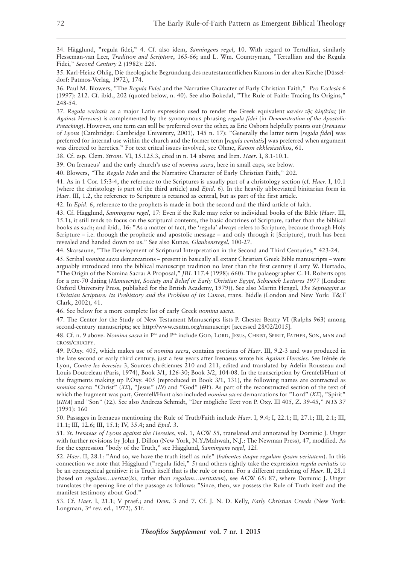34. Hägglund, "regula fidei," 4. Cf. also idem, *Sanningens regel*, 10. With regard to Tertullian, similarly Flesseman-van Leer, *Tradition and Scripture*, 165-66; and L. Wm. Countryman, "Tertullian and the Regula Fidei," *Second Century* 2 (1982): 226.

35. Karl-Heinz Ohlig, Die theologische Begru*̈*ndung des neutestamentlichen Kanons in der alten Kirche (Du*̈*sseldorf: Patmos-Verlag, 1972), 174.

36. Paul M. Blowers, "The *Regula Fidei* and the Narrative Character of Early Christian Faith," *Pro Ecclesia* 6 (1997): 212. Cf. ibid., 202 (quoted below, n. 40). See also Bokedal, "The Rule of Faith: Tracing Its Origins," 248-54.

37. *Regula veritatis* as a major Latin expression used to render the Greek equivalent *κανὼν τῆς ἀληθείας* (in *Against Heresies*) is complemented by the synonymous phrasing *regula fidei* (in *Demonstration of the Apostolic Preaching*). However, one term can still be preferred over the other, as Eric Osborn helpfully points out (*Irenaeus of Lyons* (Cambridge: Cambridge University, 2001), 145 n. 17): "Generally the latter term [*regula fidei*] was preferred for internal use within the church and the former term [*regula veritatis*] was preferred when argument was directed to heretics." For text critcal issues involved, see Ohme, *Kanon ekklesiastikos*, 61.

38. Cf. esp. Clem. *Strom*. VI, 15.125.3, cited in n. 14 above; and Iren. *Haer*. I, 8.1-10.1.

39. On Irenaeus' and the early church's use of *nomina sacra*, here in small caps, see below.

40. Blowers, "The *Regula Fidei* and the Narrative Character of Early Christian Faith," 202.

41. As in 1 Cor. 15:3-4, the reference to the Scriptures is usually part of a christology section (cf. *Haer*. I, 10.1 (where the christology is part of the third article) and *Epid*. 6). In the heavily abbreviated binitarian form in *Haer*. III, 1.2, the reference to Scripture is retained as central, but as part of the first article.

42. In *Epid*. 6, reference to the prophets is made in both the second and the third article of faith.

43. Cf. Hägglund, *Sanningens regel*, 17: Even if the Rule may refer to individual books of the Bible (*Haer*. III, 15.1), it still tends to focus on the scriptural contents, the basic doctrines of Scripture, rather than the biblical books as such; and ibid., 16: "As a matter of fact, the 'regula' always refers to Scripture, because through Holy Scripture – i.e. through the prophetic and apostolic message – and only through it [Scripture], truth has been revealed and handed down to us." See also Kunze, *Glaubensregel*, 100-27.

44. Skarsaune, "The Development of Scriptural Interpretation in the Second and Third Centuries," 423-24.

45. Scribal *nomina sacra* demarcations – present in basically all extant Christian Greek Bible manuscripts – were arguably introduced into the biblical manuscript tradition no later than the first century (Larry W. Hurtado, "The Origin of the Nomina Sacra: A Proposal," *JBL* 117.4 (1998): 660). The palaeographer C. H. Roberts opts for a pre-70 dating (*Manuscript, Society and Belief in Early Christian Egypt, Schweich Lectures 1977* (London: Oxford University Press, published for the British Academy, 1979)). See also Martin Hengel, *The Septuagint as Christian Scripture: Its Prehistory and the Problem of Its Canon*, trans. Biddle (London and New York: T&T Clark, 2002), 41.

46. See below for a more complete list of early Greek *nomina sacra*.

47. The Center for the Study of New Testament Manuscripts lists P. Chester Beatty VI (Ralphs 963) among second-century manuscripts; see http://www.csntm.org/manuscript [accessed 28/02/2015].

48. Cf. n. 9 above. *Nomina sacra* in P<sup>46</sup> and P<sup>66</sup> include GOD, LORD, JESUS, CHRIST, SPIRIT, FATHER, SON, MAN and CROSS/CRUCIFY.

49. P.Oxy. 405, which makes use of *nomina sacra*, contains portions of *Haer*. III, 9.2-3 and was produced in the late second or early third century, just a few years after Irenaeus wrote his *Against Heresies*. See Irénée de Lyon, *Contre les heresies* 3, Sources chrétiennes 210 and 211, edited and translated by Adelin Rousseau and Louis Doutreleau (Paris, 1974), Book 3/1, 126-30; Book 3/2, 104-08. In the transcription by Grenfell/Hunt of the fragments making up P.Oxy. 405 (reproduced in Book 3/1, 131), the following names are contracted as *nomina sacra*: "Christ" (*ΧΣ*), "Jesus" (*ΙΝ*) and "God" (*ΘΥ*). As part of the reconstructed section of the text of which the fragment was part, Grenfell/Hunt also included *nomina sacra* demarcations for "Lord" (*ΚΣ*), "Spirit" (*ΠΝΑ*) and "Son" (*ΥΣ*). See also Andreas Schmidt, "Der mögliche Text von P. Oxy. III 405, Z. 39-45," *NTS* 37 (1991): 160

50. Passages in Irenaeus mentioning the Rule of Truth/Faith include *Haer*. I, 9.4; I, 22.1; II, 27.1; III, 2.1; III, 11.1; III, 12.6; III, 15.1; IV, 35.4; and *Epid*. 3.

51. *St. Irenaeus of Lyons against the Heresies*, vol. 1, ACW 55, translated and annotated by Dominic J. Unger with further revisions by John J. Dillon (New York, N.Y./Mahwah, N.J.: The Newman Press), 47, modified. As for the expression "body of the Truth," see Hägglund, *Sanningens regel*, 12f.

52. *Haer*. II, 28.1: "And so, we have the truth itself as rule" (*habentes itaque regulam ipsam veritatem*). In this connection we note that Hägglund ("regula fidei," 5) and others rightly take the expression *regula veritatis* to be an epexegetical genitive: it is Truth itself that is the rule or norm. For a different rendering of *Haer*. II, 28.1 (based on *regulam*…*veritat*(*is*), rather than *regulam*…*veritatem*), see ACW 65: 87, where Dominic J. Unger translates the opening line of the passage as follows: "Since, then, we possess the Rule of Truth itself and the manifest testimony about God."

53. Cf. *Haer*. I, 21.1; V praef.; and *Dem*. 3 and 7. Cf. J. N. D. Kelly, *Early Christian Creeds* (New York: Longman, 3rd rev. ed., 1972), 51f.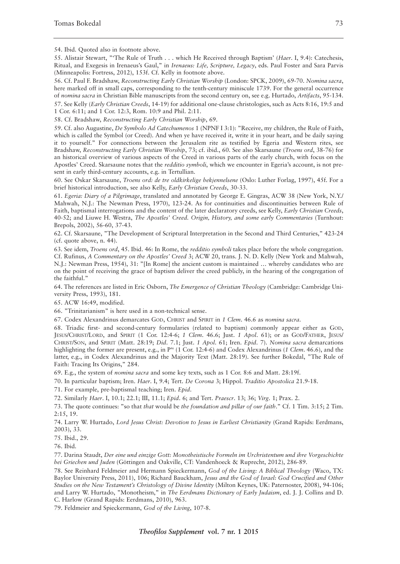54. Ibid. Quoted also in footnote above.

55. Alistair Stewart, "'The Rule of Truth . . . which He Received through Baptism' (*Haer*. I, 9.4): Catechesis, Ritual, and Exegesis in Irenaeus's Gaul," in *Irenaeus: Life, Scripture, Legacy*, eds. Paul Foster and Sara Parvis (Minneapolis: Fortress, 2012), 153f. Cf. Kelly in footnote above.

56. Cf. Paul F. Bradshaw, *Reconstructing Early Christian Worship* (London: SPCK, 2009), 69-70. *Nomina sacra*, here marked off in small caps, corresponding to the tenth-century miniscule 1739. For the general occurrence of *nomina sacra* in Christian Bible manuscripts from the second century on, see e.g. Hurtado, *Artifacts*, 95-134.

57. See Kelly (*Early Christian Creeds*, 14-19) for additional one-clause christologies, such as Acts 8:16, 19:5 and 1 Cor. 6:11; and 1 Cor. 12:3, Rom. 10:9 and Phil. 2:11.

58. Cf. Bradshaw, *Reconstructing Early Christian Worship*, 69.

59. Cf. also Augustine, *De Symbolo Ad Catechumenos* 1 (NPNF I 3:1): "Receive, my children, the Rule of Faith, which is called the Symbol (or Creed). And when ye have received it, write it in your heart, and be daily saying it to yourself." For connections between the Jerusalem rite as testified by Egeria and Western rites, see Bradshaw, *Reconstructing Early Christian Worship*, 73; cf. ibid., 60. See also Skarsaune (*Troens ord*, 38-76) for an historical overview of various aspects of the Creed in various parts of the early church, with focus on the Apostles' Creed. Skarsaune notes that the *redditio symboli*, which we encounter in Egeria's account, is not present in early third-century accounts, e.g. in Tertullian.

60. See Oskar Skarsaune, *Troens ord: de tre oldkirkelige bekjennelsene* (Oslo: Luther Forlag, 1997), 45f. For a brief historical introduction, see also Kelly, *Early Christian Creeds*, 30-33.

61. *Egeria: Diary of a Pilgrimage*, translated and annotated by George E. Gingras, ACW 38 (New York, N.Y./ Mahwah, N.J.: The Newman Press, 1970), 123-24. As for continuities and discontinuities between Rule of Faith, baptismal interrogations and the content of the later declaratory creeds, see Kelly, *Early Christian Creeds*, 40-52; and Liuwe H. Westra, *The Apostles' Creed. Origin, History, and some early Commentaries* (Turnhout: Brepols, 2002), 56-60, 37-43.

62. Cf. Skarsaune, "The Development of Scriptural Interpretation in the Second and Third Centuries," 423-24 (cf. quote above, n. 44).

63. See idem, *Troens ord*, 45. Ibid. 46: In Rome, the *redditio symboli* takes place before the whole congregation. Cf. Rufinus, *A Commentary on the Apostles' Creed* 3; ACW 20, trans. J. N. D. Kelly (New York and Mahwah, N.J.: Newman Press, 1954), 31: "[In Rome] the ancient custom is maintained … whereby candidates who are on the point of receiving the grace of baptism deliver the creed publicly, in the hearing of the congregation of the faithful."

64. The references are listed in Eric Osborn, *The Emergence of Christian Theology* (Cambridge: Cambridge University Press, 1993), 181.

65. ACW 16:49, modified.

66. "Trinitarianism" is here used in a non-technical sense.

67. Codex Alexandrinus demarcates GOD, CHRIST and SPIRIT in *1 Clem*. 46.6 as *nomina sacra*.

68. Triadic first- and second-century formularies (related to baptism) commonly appear either as GOD, JESUS/CHRIST/LORD, and SPIRIT (1 Cor. 12:4-6; *1 Clem*. 46.6; Just. *1 Apol*. 61); or as GOD/FATHER, JESUS/ CHRIST/SON, and SPIRIT (Matt. 28:19; *Did*. 7.1; Just. *1 Apol*. 61; Iren. *Epid*. 7). *Nomina sacra* demarcations highlighting the former are present, e.g., in P<sup>46</sup> (1 Cor. 12:4-6) and Codex Alexandrinus (1 *Clem.* 46.6), and the latter, e.g., in Codex Alexandrinus and the Majority Text (Matt. 28:19). See further Bokedal, "The Rule of Faith: Tracing Its Origins," 284.

69. E.g., the system of *nomina sacra* and some key texts, such as 1 Cor. 8:6 and Matt. 28:19f.

70. In particular baptism; Iren. *Haer*. I, 9.4; Tert. *De Corona* 3; Hippol. *Traditio Apostolica* 21.9-18.

71. For example, pre-baptismal teaching; Iren. *Epid*.

72. Similarly *Haer*. I, 10.1; 22.1; III, 11.1; *Epid*. 6; and Tert. *Praescr*. 13; 36; *Virg*. 1; Prax. 2.

73. The quote continues: "so that *that* would be *the foundation and pillar of our faith*." Cf. 1 Tim. 3:15; 2 Tim. 2:15, 19.

74. Larry W. Hurtado, *Lord Jesus Christ: Devotion to Jesus in Earliest Christianity* (Grand Rapids: Eerdmans, 2003), 33.

75. Ibid., 29.

76. Ibid.

77. Darina Staudt, *Der eine und einzige Gott: Monotheistische Formeln im Urchristentum und ihre Vorgeschichte bei Griechen und Juden* (Göttingen and Oakville, CT: Vandenhoeck & Ruprecht, 2012), 286-89.

78. See Reinhard Feldmeier and Hermann Spieckermann, *God of the Living: A Biblical Theology* (Waco, TX: Baylor University Press, 2011), 106; Richard Bauckham, *Jesus and the God of Israel: God Crucified and Other Studies on the New Testament's Christology of Divine Identity* (Milton Keynes, UK: Paternoster, 2008), 94-106; and Larry W. Hurtado, "Monotheism," in *The Eerdmans Dictionary of Early Judaism*, ed. J. J. Collins and D. C. Harlow (Grand Rapids: Eerdmans, 2010), 963.

79. Feldmeier and Spieckermann, *God of the Living*, 107-8.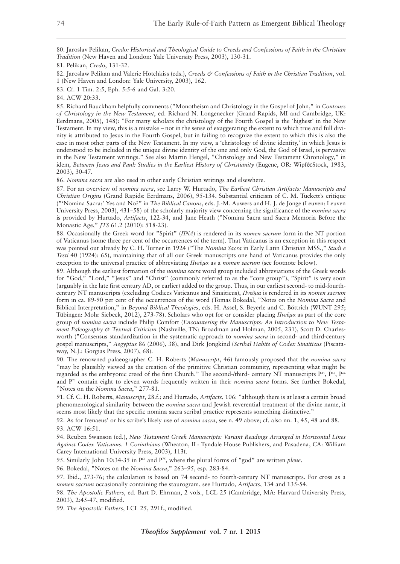80. Jaroslav Pelikan, *Credo: Historical and Theological Guide to Creeds and Confessions of Faith in the Christian Tradition* (New Haven and London: Yale University Press, 2003), 130-31.

81. Pelikan, *Credo*, 131-32.

82. Jaroslaw Pelikan and Valerie Hotchkiss (eds.), *Creeds & Confessions of Faith in the Christian Tradition*, vol. 1 (New Haven and London: Yale University, 2003), 162.

83. Cf. 1 Tim. 2:5, Eph. 5:5-6 and Gal. 3:20.

84. ACW 20:33.

85. Richard Bauckham helpfully comments ("Monotheism and Christology in the Gospel of John," in *Contours of Christology in the New Testament*, ed. Richard N. Longenecker (Grand Rapids, MI and Cambridge, UK: Eerdmans, 2005), 148): "For many scholars the christology of the Fourth Gospel is the 'highest' in the New Testament. In my view, this is a mistake – not in the sense of exaggerating the extent to which true and full divinity is attributed to Jesus in the Fourth Gospel, but in failing to recognize the extent to which this is also the case in most other parts of the New Testament. In my view, a 'christology of divine identity,' in which Jesus is understood to be included in the unique divine identity of the one and only God, the God of Israel, is pervasive in the New Testament writings." See also Martin Hengel, "Christology and New Testament Chronology," in idem, *Between Jesus and Paul: Studies in the Earliest History of Christianity* (Eugene, OR: Wipf&Stock, 1983, 2003), 30-47.

86. *Nomina sacra* are also used in other early Christian writings and elsewhere.

87. For an overview of *nomina sacra*, see Larry W. Hurtado, *The Earliest Christian Artifacts: Manuscripts and Christian Origins* (Grand Rapids: Eerdmans, 2006), 95-134. Substantial criticism of C. M. Tuckett's critique ("'Nomina Sacra:' Yes and No?" in *The Biblical Canons*, eds. J.-M. Auwers and H. J. de Jonge (Leuven: Leuven University Press, 2003), 431–58) of the scholarly majority view concerning the significance of the *nomina sacra* is provided by Hurtado, *Artifacts*, 122-34, and Jane Heath ("Nomina Sacra and Sacra Memoria Before the Monastic Age," *JTS* 61.2 (2010): 518-23).

88. Occasionally the Greek word for "Spirit" (*ΠΝΑ*) is rendered in its *nomen sacrum* form in the NT portion of Vaticanus (some three per cent of the occurrences of the term). That Vaticanus is an exception in this respect was pointed out already by C. H. Turner in 1924 ("The *Nomina Sacra* in Early Latin Christian MSS.," *Studi e Testi* 40 (1924): 65), maintaining that of all our Greek manuscripts one hand of Vaticanus provides the only exception to the universal practice of abbreviating *Πνεῦμα* as a *nomen sacrum* (see footnote below).

89. Although the earliest formation of the *nomina sacra* word group included abbreviations of the Greek words for "God," "Lord," "Jesus" and "Christ" (commonly referred to as the "core group"), "Spirit" is very soon (arguably in the late first century AD, or earlier) added to the group. Thus, in our earliest second- to mid-fourthcentury NT manuscripts (excluding Codices Vaticanus and Sinaiticus), *Πνεῦμα* is rendered in its *nomen sacrum* form in ca. 89-90 per cent of the occurrences of the word (Tomas Bokedal, "Notes on the *Nomina Sacra* and Biblical Interpretation," in *Beyond Biblical Theologies*, eds. H. Assel, S. Beyerle and C. Böttrich (WUNT 295; Tu*̈*bingen: Mohr Siebeck, 2012), 273-78). Scholars who opt for or consider placing *Πνεῦμα* as part of the core group of *nomina sacra* include Philip Comfort (*Encountering the Manuscripts: An Introduction to New Testament Paleography & Textual Criticism* (Nashville, TN: Broadman and Holman, 2005, 231), Scott D. Charlesworth ("Consensus standardization in the systematic approach to *nomina sacra* in second- and third-century gospel manuscripts," *Aegyptus* 86 (2006), 38), and Dirk Jongkind (*Scribal Habits of Codex Sinaiticus* (Piscataway, N.J.: Gorgias Press, 2007), 68).

90. The renowned palaeographer C. H. Roberts (*Manuscript*, 46) famously proposed that the *nomina sacra* "may be plausibly viewed as the creation of the primitive Christian community, representing what might be regarded as the embryonic creed of the first Church." The second-/third- century NT manuscripts P<sup>45</sup>, P<sup>46</sup>, P<sup>66</sup> and P75 contain eight to eleven words frequently written in their *nomina sacra* forms. See further Bokedal, "Notes on the *Nomina Sacra*," 277-81.

91. Cf. C. H. Roberts, *Manuscript*, 28.f.; and Hurtado, *Artifacts*, 106: "although there is at least a certain broad phenomenological similarity between the *nomina sacra* and Jewish reverential treatment of the divine name, it seems most likely that the specific nomina sacra scribal practice represents something distinctive."

92. As for Irenaeus' or his scribe's likely use of *nomina sacra*, see n. 49 above; cf. also nn. 1, 45, 48 and 88. 93. ACW 16:51.

94. Reuben Swanson (ed.), *New Testament Greek Manuscripts: Variant Readings Arranged in Horizontal Lines Against Codex Vaticanus. 1 Corinthians* (Wheaton, IL: Tyndale House Publishers, and Pasadena, CA: William Carey International University Press, 2003), 113f.

95. Similarly John 10:34-35 in P66 and P75 , where the plural forms of "god" are written *plene*.

96. Bokedal, "Notes on the *Nomina Sacra*," 263–95, esp. 283-84.

97. Ibid., 273-76; the calculation is based on 74 second- to fourth-century NT manuscripts. For cross as a *nomen sacrum* occasionally containing the staurogram, see Hurtado, *Artifacts*, 134 and 135-54.

98. *The Apostolic Fathers*, ed. Bart D. Ehrman, 2 vols., LCL 25 (Cambridge, MA: Harvard University Press, 2003), 2:45-47, modified.

99. *The Apostolic Fathers*, LCL 25, 291f., modified.